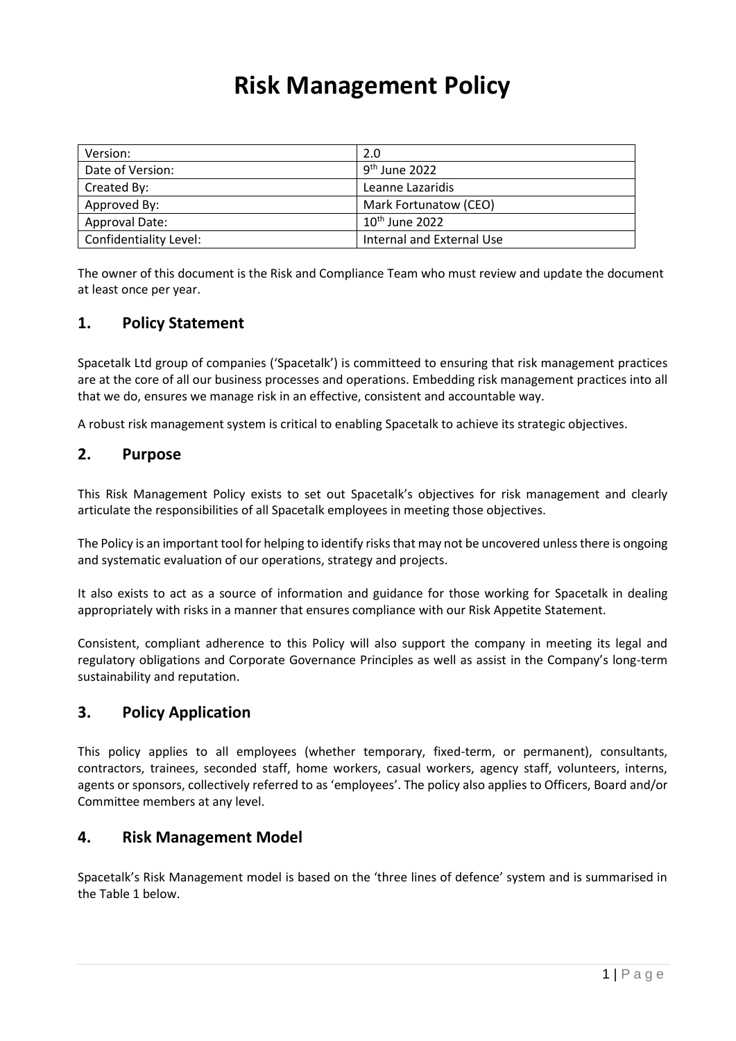# **Risk Management Policy**

| Version:               | 2.0                       |
|------------------------|---------------------------|
| Date of Version:       | 9 <sup>th</sup> June 2022 |
| Created By:            | Leanne Lazaridis          |
| Approved By:           | Mark Fortunatow (CEO)     |
| Approval Date:         | $10th$ June 2022          |
| Confidentiality Level: | Internal and External Use |

The owner of this document is the Risk and Compliance Team who must review and update the document at least once per year.

## **1. Policy Statement**

Spacetalk Ltd group of companies ('Spacetalk') is committeed to ensuring that risk management practices are at the core of all our business processes and operations. Embedding risk management practices into all that we do, ensures we manage risk in an effective, consistent and accountable way.

A robust risk management system is critical to enabling Spacetalk to achieve its strategic objectives.

## **2. Purpose**

This Risk Management Policy exists to set out Spacetalk's objectives for risk management and clearly articulate the responsibilities of all Spacetalk employees in meeting those objectives.

The Policy is an important tool for helping to identify risks that may not be uncovered unless there is ongoing and systematic evaluation of our operations, strategy and projects.

It also exists to act as a source of information and guidance for those working for Spacetalk in dealing appropriately with risks in a manner that ensures compliance with our Risk Appetite Statement.

Consistent, compliant adherence to this Policy will also support the company in meeting its legal and regulatory obligations and Corporate Governance Principles as well as assist in the Company's long-term sustainability and reputation.

## **3. Policy Application**

This policy applies to all employees (whether temporary, fixed-term, or permanent), consultants, contractors, trainees, seconded staff, home workers, casual workers, agency staff, volunteers, interns, agents or sponsors, collectively referred to as 'employees'. The policy also applies to Officers, Board and/or Committee members at any level.

## **4. Risk Management Model**

Spacetalk's Risk Management model is based on the 'three lines of defence' system and is summarised in the Table 1 below.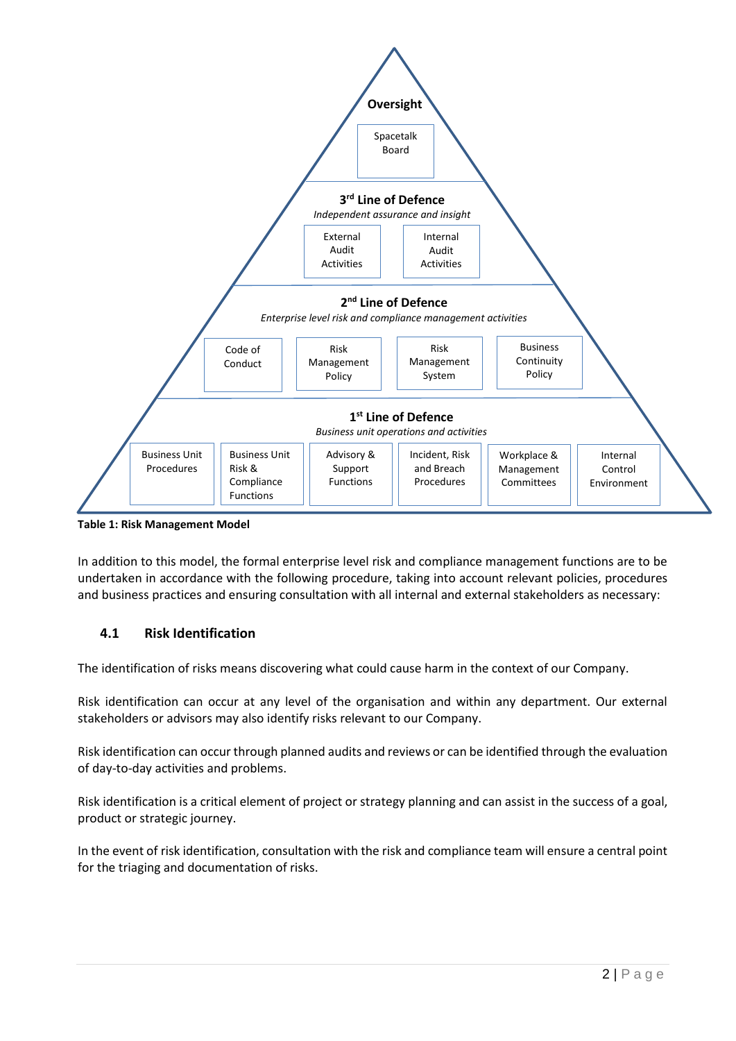

**Table 1: Risk Management Model**

In addition to this model, the formal enterprise level risk and compliance management functions are to be undertaken in accordance with the following procedure, taking into account relevant policies, procedures and business practices and ensuring consultation with all internal and external stakeholders as necessary:

## **4.1 Risk Identification**

The identification of risks means discovering what could cause harm in the context of our Company.

Risk identification can occur at any level of the organisation and within any department. Our external stakeholders or advisors may also identify risks relevant to our Company.

Risk identification can occur through planned audits and reviews or can be identified through the evaluation of day-to-day activities and problems.

Risk identification is a critical element of project or strategy planning and can assist in the success of a goal, product or strategic journey.

In the event of risk identification, consultation with the risk and compliance team will ensure a central point for the triaging and documentation of risks.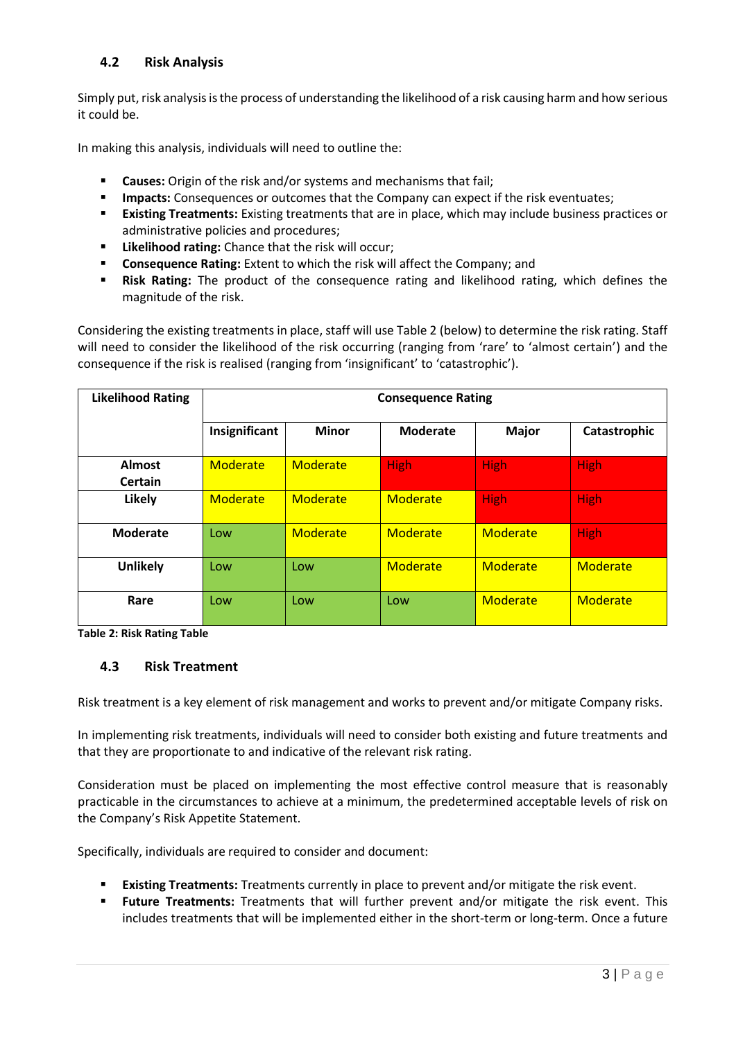## **4.2 Risk Analysis**

Simply put, risk analysis is the process of understanding the likelihood of a risk causing harm and how serious it could be.

In making this analysis, individuals will need to outline the:

- **Causes:** Origin of the risk and/or systems and mechanisms that fail;
- **IMPACTE:** Consequences or outcomes that the Company can expect if the risk eventuates;
- **Existing Treatments:** Existing treatments that are in place, which may include business practices or administrative policies and procedures;
- **Likelihood rating:** Chance that the risk will occur;
- **Consequence Rating:** Extent to which the risk will affect the Company; and
- **Risk Rating:** The product of the consequence rating and likelihood rating, which defines the magnitude of the risk.

Considering the existing treatments in place, staff will use Table 2 (below) to determine the risk rating. Staff will need to consider the likelihood of the risk occurring (ranging from 'rare' to 'almost certain') and the consequence if the risk is realised (ranging from 'insignificant' to 'catastrophic').

| <b>Likelihood Rating</b> | <b>Consequence Rating</b> |              |                 |              |              |  |
|--------------------------|---------------------------|--------------|-----------------|--------------|--------------|--|
|                          | Insignificant             | <b>Minor</b> | <b>Moderate</b> | <b>Major</b> | Catastrophic |  |
| <b>Almost</b><br>Certain | Moderate                  | Moderate     | <b>High</b>     | <b>High</b>  | <b>High</b>  |  |
| Likely                   | <b>Moderate</b>           | Moderate     | Moderate        | <b>High</b>  | <b>High</b>  |  |
| <b>Moderate</b>          | Low                       | Moderate     | Moderate        | Moderate     | <b>High</b>  |  |
| <b>Unlikely</b>          | Low                       | Low          | Moderate        | Moderate     | Moderate     |  |
| Rare                     | Low                       | Low          | Low             | Moderate     | Moderate     |  |

**Table 2: Risk Rating Table**

#### **4.3 Risk Treatment**

Risk treatment is a key element of risk management and works to prevent and/or mitigate Company risks.

In implementing risk treatments, individuals will need to consider both existing and future treatments and that they are proportionate to and indicative of the relevant risk rating.

Consideration must be placed on implementing the most effective control measure that is reasonably practicable in the circumstances to achieve at a minimum, the predetermined acceptable levels of risk on the Company's Risk Appetite Statement.

Specifically, individuals are required to consider and document:

- **Existing Treatments:** Treatments currently in place to prevent and/or mitigate the risk event.
- **Future Treatments:** Treatments that will further prevent and/or mitigate the risk event. This includes treatments that will be implemented either in the short-term or long-term. Once a future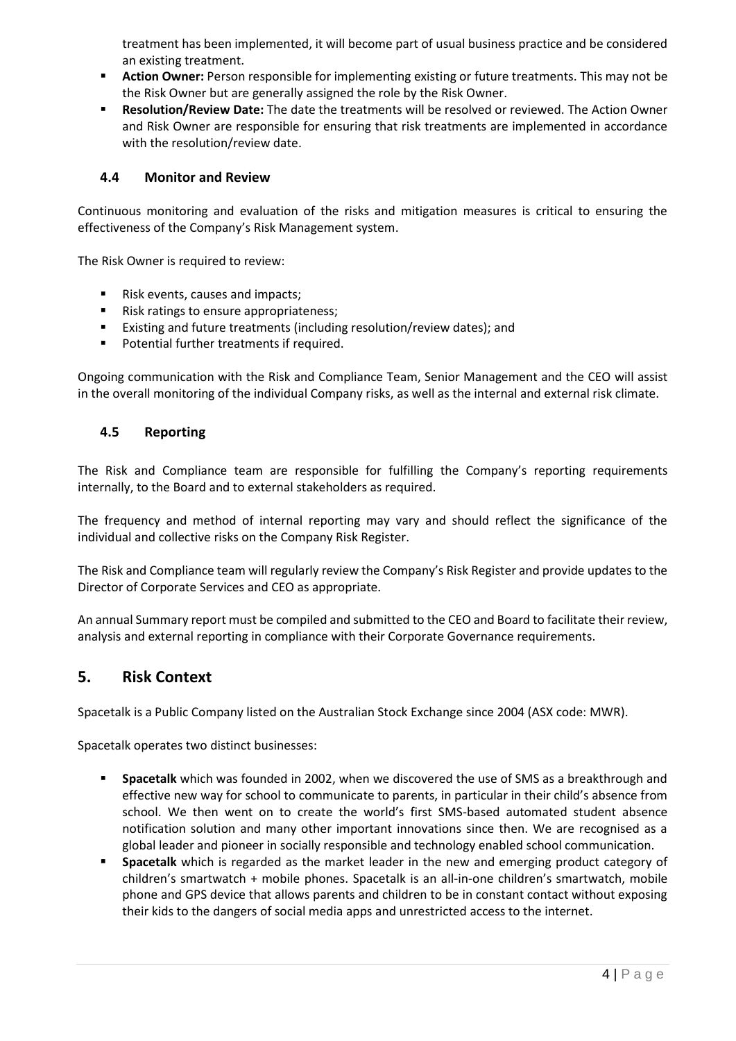treatment has been implemented, it will become part of usual business practice and be considered an existing treatment.

- Action Owner: Person responsible for implementing existing or future treatments. This may not be the Risk Owner but are generally assigned the role by the Risk Owner.
- **Resolution/Review Date:** The date the treatments will be resolved or reviewed. The Action Owner and Risk Owner are responsible for ensuring that risk treatments are implemented in accordance with the resolution/review date.

#### **4.4 Monitor and Review**

Continuous monitoring and evaluation of the risks and mitigation measures is critical to ensuring the effectiveness of the Company's Risk Management system.

The Risk Owner is required to review:

- Risk events, causes and impacts;
- Risk ratings to ensure appropriateness;
- Existing and future treatments (including resolution/review dates); and
- Potential further treatments if required.

Ongoing communication with the Risk and Compliance Team, Senior Management and the CEO will assist in the overall monitoring of the individual Company risks, as well as the internal and external risk climate.

#### **4.5 Reporting**

The Risk and Compliance team are responsible for fulfilling the Company's reporting requirements internally, to the Board and to external stakeholders as required.

The frequency and method of internal reporting may vary and should reflect the significance of the individual and collective risks on the Company Risk Register.

The Risk and Compliance team will regularly review the Company's Risk Register and provide updates to the Director of Corporate Services and CEO as appropriate.

An annual Summary report must be compiled and submitted to the CEO and Board to facilitate their review, analysis and external reporting in compliance with their Corporate Governance requirements.

## **5. Risk Context**

Spacetalk is a Public Company listed on the Australian Stock Exchange since 2004 (ASX code: MWR).

Spacetalk operates two distinct businesses:

- **EXECT** Spacetalk which was founded in 2002, when we discovered the use of SMS as a breakthrough and effective new way for school to communicate to parents, in particular in their child's absence from school. We then went on to create the world's first SMS-based automated student absence notification solution and many other important innovations since then. We are recognised as a global leader and pioneer in socially responsible and technology enabled school communication.
- **Spacetalk** which is regarded as the market leader in the new and emerging product category of children's smartwatch + mobile phones. Spacetalk is an all-in-one children's smartwatch, mobile phone and GPS device that allows parents and children to be in constant contact without exposing their kids to the dangers of social media apps and unrestricted access to the internet.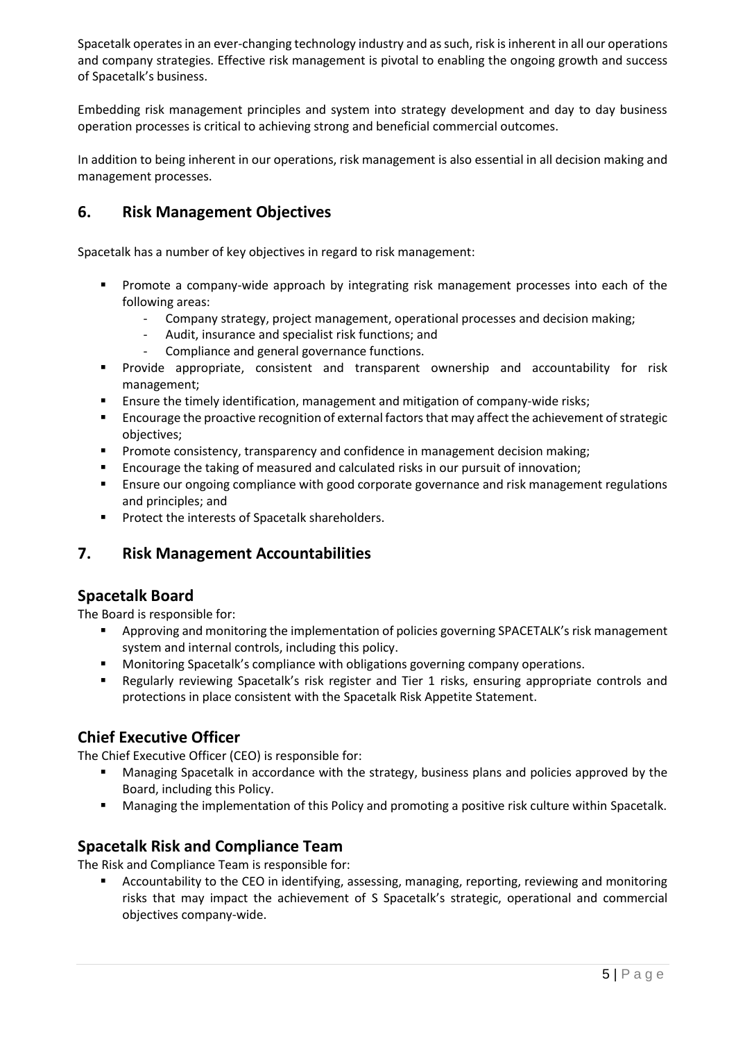Spacetalk operates in an ever-changing technology industry and as such, risk is inherent in all our operations and company strategies. Effective risk management is pivotal to enabling the ongoing growth and success of Spacetalk's business.

Embedding risk management principles and system into strategy development and day to day business operation processes is critical to achieving strong and beneficial commercial outcomes.

In addition to being inherent in our operations, risk management is also essential in all decision making and management processes.

## **6. Risk Management Objectives**

Spacetalk has a number of key objectives in regard to risk management:

- Promote a company-wide approach by integrating risk management processes into each of the following areas:
	- Company strategy, project management, operational processes and decision making;
	- Audit, insurance and specialist risk functions; and
	- Compliance and general governance functions.
- Provide appropriate, consistent and transparent ownership and accountability for risk management;
- **E** Ensure the timely identification, management and mitigation of company-wide risks;
- **EXECUTE:** Encourage the proactive recognition of external factors that may affect the achievement of strategic objectives;
- Promote consistency, transparency and confidence in management decision making;
- Encourage the taking of measured and calculated risks in our pursuit of innovation:
- **E** Ensure our ongoing compliance with good corporate governance and risk management regulations and principles; and
- Protect the interests of Spacetalk shareholders.

## **7. Risk Management Accountabilities**

## **Spacetalk Board**

The Board is responsible for:

- Approving and monitoring the implementation of policies governing SPACETALK's risk management system and internal controls, including this policy.
- **■** Monitoring Spacetalk's compliance with obligations governing company operations.
- Regularly reviewing Spacetalk's risk register and Tier 1 risks, ensuring appropriate controls and protections in place consistent with the Spacetalk Risk Appetite Statement.

## **Chief Executive Officer**

The Chief Executive Officer (CEO) is responsible for:

- **■** Managing Spacetalk in accordance with the strategy, business plans and policies approved by the Board, including this Policy.
- Managing the implementation of this Policy and promoting a positive risk culture within Spacetalk.

## **Spacetalk Risk and Compliance Team**

The Risk and Compliance Team is responsible for:

Accountability to the CEO in identifying, assessing, managing, reporting, reviewing and monitoring risks that may impact the achievement of S Spacetalk's strategic, operational and commercial objectives company-wide.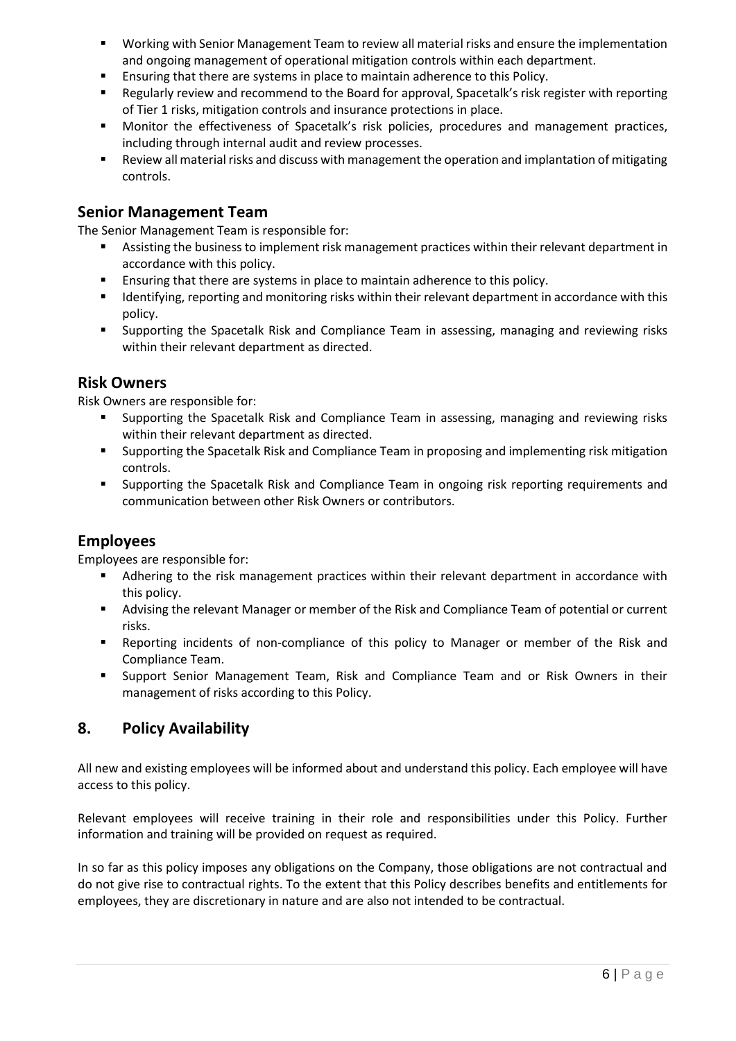- Working with Senior Management Team to review all material risks and ensure the implementation and ongoing management of operational mitigation controls within each department.
- Ensuring that there are systems in place to maintain adherence to this Policy.
- Regularly review and recommend to the Board for approval, Spacetalk's risk register with reporting of Tier 1 risks, mitigation controls and insurance protections in place.
- Monitor the effectiveness of Spacetalk's risk policies, procedures and management practices, including through internal audit and review processes.
- Review all material risks and discuss with management the operation and implantation of mitigating controls.

## **Senior Management Team**

The Senior Management Team is responsible for:

- Assisting the business to implement risk management practices within their relevant department in accordance with this policy.
- Ensuring that there are systems in place to maintain adherence to this policy.
- Identifying, reporting and monitoring risks within their relevant department in accordance with this policy.
- Supporting the Spacetalk Risk and Compliance Team in assessing, managing and reviewing risks within their relevant department as directed.

## **Risk Owners**

Risk Owners are responsible for:

- Supporting the Spacetalk Risk and Compliance Team in assessing, managing and reviewing risks within their relevant department as directed.
- **•** Supporting the Spacetalk Risk and Compliance Team in proposing and implementing risk mitigation controls.
- Supporting the Spacetalk Risk and Compliance Team in ongoing risk reporting requirements and communication between other Risk Owners or contributors.

## **Employees**

Employees are responsible for:

- **■** Adhering to the risk management practices within their relevant department in accordance with this policy.
- Advising the relevant Manager or member of the Risk and Compliance Team of potential or current risks.
- Reporting incidents of non-compliance of this policy to Manager or member of the Risk and Compliance Team.
- **E** Support Senior Management Team, Risk and Compliance Team and or Risk Owners in their management of risks according to this Policy.

## **8. Policy Availability**

All new and existing employees will be informed about and understand this policy. Each employee will have access to this policy.

Relevant employees will receive training in their role and responsibilities under this Policy. Further information and training will be provided on request as required.

In so far as this policy imposes any obligations on the Company, those obligations are not contractual and do not give rise to contractual rights. To the extent that this Policy describes benefits and entitlements for employees, they are discretionary in nature and are also not intended to be contractual.